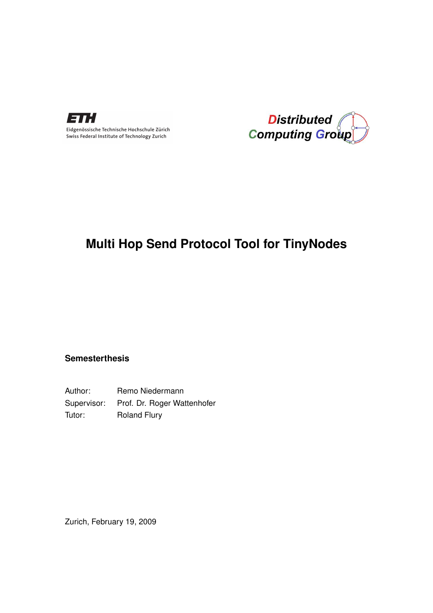<span id="page-0-0"></span>



## **Multi Hop Send Protocol Tool for TinyNodes**

#### **Semesterthesis**

Author: Remo Niedermann Supervisor: Prof. Dr. Roger Wattenhofer Tutor: Roland Flury

Zurich, February 19, 2009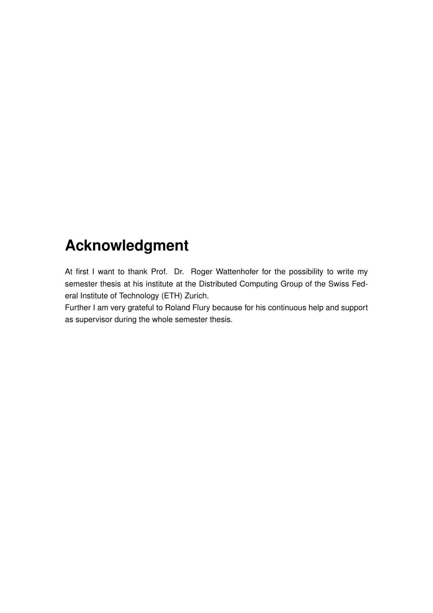## **Acknowledgment**

At first I want to thank Prof. Dr. Roger Wattenhofer for the possibility to write my semester thesis at his institute at the Distributed Computing Group of the Swiss Federal Institute of Technology (ETH) Zurich.

Further I am very grateful to Roland Flury because for his continuous help and support as supervisor during the whole semester thesis.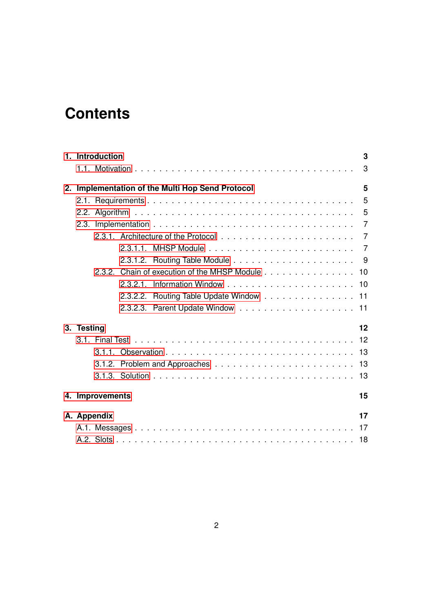# **Contents**

|            | 1. Introduction |                                                  |  |  |  |  |  |  |  | 3  |
|------------|-----------------|--------------------------------------------------|--|--|--|--|--|--|--|----|
|            |                 |                                                  |  |  |  |  |  |  |  | 3  |
|            |                 | 2. Implementation of the Multi Hop Send Protocol |  |  |  |  |  |  |  | 5  |
|            |                 |                                                  |  |  |  |  |  |  |  |    |
|            |                 |                                                  |  |  |  |  |  |  |  |    |
|            |                 |                                                  |  |  |  |  |  |  |  |    |
|            |                 |                                                  |  |  |  |  |  |  |  |    |
|            |                 |                                                  |  |  |  |  |  |  |  |    |
|            |                 |                                                  |  |  |  |  |  |  |  |    |
|            |                 | 2.3.2. Chain of execution of the MHSP Module 10  |  |  |  |  |  |  |  |    |
|            |                 | 2.3.2.1                                          |  |  |  |  |  |  |  |    |
|            |                 | 2.3.2.2. Routing Table Update Window 11          |  |  |  |  |  |  |  |    |
|            |                 |                                                  |  |  |  |  |  |  |  |    |
| 3. Testing |                 |                                                  |  |  |  |  |  |  |  | 12 |
|            |                 |                                                  |  |  |  |  |  |  |  |    |
|            |                 |                                                  |  |  |  |  |  |  |  |    |
|            |                 |                                                  |  |  |  |  |  |  |  |    |
|            |                 |                                                  |  |  |  |  |  |  |  |    |
|            | 4. Improvements |                                                  |  |  |  |  |  |  |  | 15 |
|            | A. Appendix     |                                                  |  |  |  |  |  |  |  | 17 |
|            |                 |                                                  |  |  |  |  |  |  |  |    |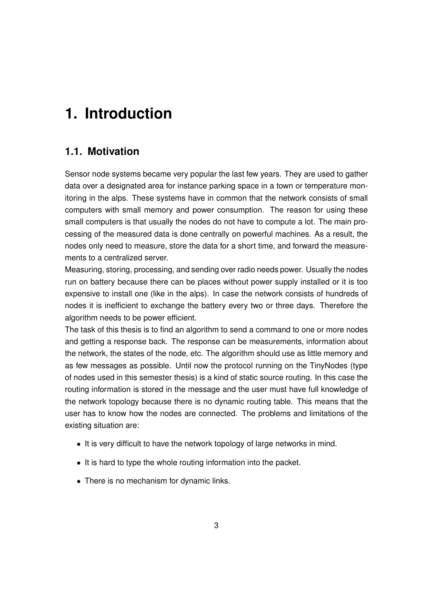## <span id="page-3-0"></span>**1. Introduction**

### <span id="page-3-1"></span>**1.1. Motivation**

Sensor node systems became very popular the last few years. They are used to gather data over a designated area for instance parking space in a town or temperature monitoring in the alps. These systems have in common that the network consists of small computers with small memory and power consumption. The reason for using these small computers is that usually the nodes do not have to compute a lot. The main processing of the measured data is done centrally on powerful machines. As a result, the nodes only need to measure, store the data for a short time, and forward the measurements to a centralized server.

Measuring, storing, processing, and sending over radio needs power. Usually the nodes run on battery because there can be places without power supply installed or it is too expensive to install one (like in the alps). In case the network consists of hundreds of nodes it is inefficient to exchange the battery every two or three days. Therefore the algorithm needs to be power efficient.

The task of this thesis is to find an algorithm to send a command to one or more nodes and getting a response back. The response can be measurements, information about the network, the states of the node, etc. The algorithm should use as little memory and as few messages as possible. Until now the protocol running on the TinyNodes (type of nodes used in this semester thesis) is a kind of static source routing. In this case the routing information is stored in the message and the user must have full knowledge of the network topology because there is no dynamic routing table. This means that the user has to know how the nodes are connected. The problems and limitations of the existing situation are:

- It is very difficult to have the network topology of large networks in mind.
- It is hard to type the whole routing information into the packet.
- There is no mechanism for dynamic links.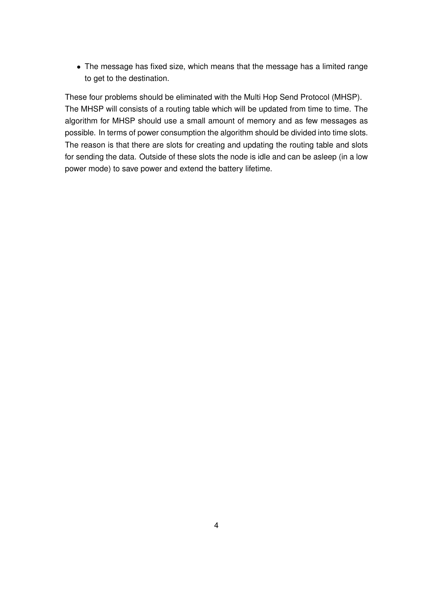• The message has fixed size, which means that the message has a limited range to get to the destination.

These four problems should be eliminated with the Multi Hop Send Protocol (MHSP). The MHSP will consists of a routing table which will be updated from time to time. The algorithm for MHSP should use a small amount of memory and as few messages as possible. In terms of power consumption the algorithm should be divided into time slots. The reason is that there are slots for creating and updating the routing table and slots for sending the data. Outside of these slots the node is idle and can be asleep (in a low power mode) to save power and extend the battery lifetime.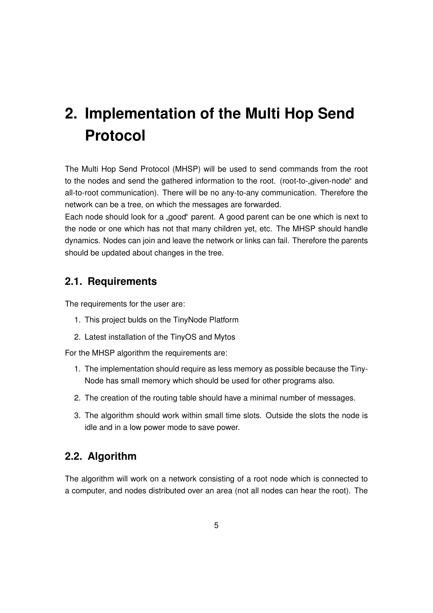# <span id="page-5-0"></span>**2. Implementation of the Multi Hop Send Protocol**

The Multi Hop Send Protocol (MHSP) will be used to send commands from the root to the nodes and send the gathered information to the root. (root-to-"given-node" and all-to-root communication). There will be no any-to-any communication. Therefore the network can be a tree, on which the messages are forwarded.

Each node should look for a " good" parent. A good parent can be one which is next to the node or one which has not that many children yet, etc. The MHSP should handle dynamics. Nodes can join and leave the network or links can fail. Therefore the parents should be updated about changes in the tree.

### <span id="page-5-1"></span>**2.1. Requirements**

The requirements for the user are:

- 1. This project bulds on the TinyNode Platform
- 2. Latest installation of the TinyOS and Mytos

For the MHSP algorithm the requirements are:

- 1. The implementation should require as less memory as possible because the Tiny-Node has small memory which should be used for other programs also.
- 2. The creation of the routing table should have a minimal number of messages.
- 3. The algorithm should work within small time slots. Outside the slots the node is idle and in a low power mode to save power.

### <span id="page-5-2"></span>**2.2. Algorithm**

The algorithm will work on a network consisting of a root node which is connected to a computer, and nodes distributed over an area (not all nodes can hear the root). The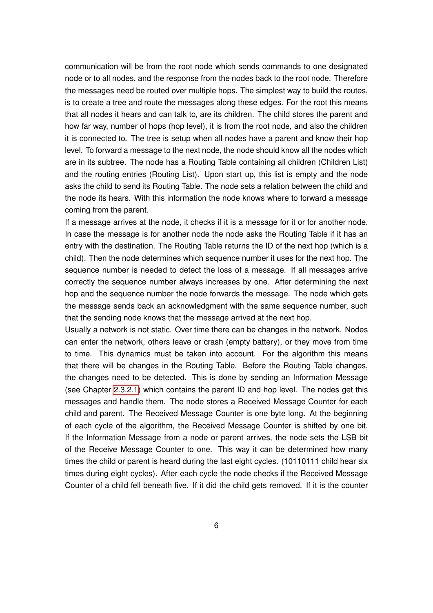communication will be from the root node which sends commands to one designated node or to all nodes, and the response from the nodes back to the root node. Therefore the messages need be routed over multiple hops. The simplest way to build the routes, is to create a tree and route the messages along these edges. For the root this means that all nodes it hears and can talk to, are its children. The child stores the parent and how far way, number of hops (hop level), it is from the root node, and also the children it is connected to. The tree is setup when all nodes have a parent and know their hop level. To forward a message to the next node, the node should know all the nodes which are in its subtree. The node has a Routing Table containing all children (Children List) and the routing entries (Routing List). Upon start up, this list is empty and the node asks the child to send its Routing Table. The node sets a relation between the child and the node its hears. With this information the node knows where to forward a message coming from the parent.

If a message arrives at the node, it checks if it is a message for it or for another node. In case the message is for another node the node asks the Routing Table if it has an entry with the destination. The Routing Table returns the ID of the next hop (which is a child). Then the node determines which sequence number it uses for the next hop. The sequence number is needed to detect the loss of a message. If all messages arrive correctly the sequence number always increases by one. After determining the next hop and the sequence number the node forwards the message. The node which gets the message sends back an acknowledgment with the same sequence number, such that the sending node knows that the message arrived at the next hop.

Usually a network is not static. Over time there can be changes in the network. Nodes can enter the network, others leave or crash (empty battery), or they move from time to time. This dynamics must be taken into account. For the algorithm this means that there will be changes in the Routing Table. Before the Routing Table changes, the changes need to be detected. This is done by sending an Information Message (see Chapter [2.3.2.1\)](#page-10-1) which contains the parent ID and hop level. The nodes get this messages and handle them. The node stores a Received Message Counter for each child and parent. The Received Message Counter is one byte long. At the beginning of each cycle of the algorithm, the Received Message Counter is shifted by one bit. If the Information Message from a node or parent arrives, the node sets the LSB bit of the Receive Message Counter to one. This way it can be determined how many times the child or parent is heard during the last eight cycles. (10110111 child hear six times during eight cycles). After each cycle the node checks if the Received Message Counter of a child fell beneath five. If it did the child gets removed. If it is the counter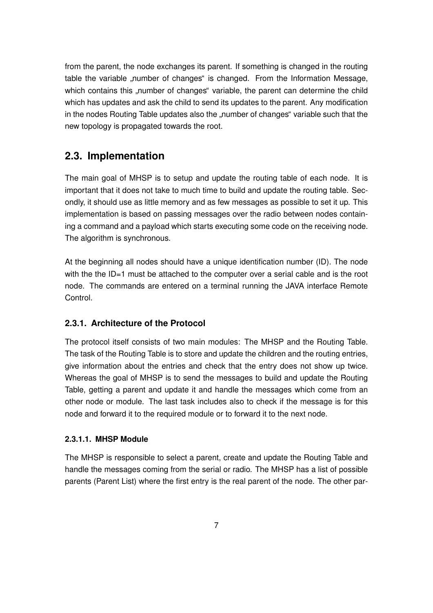from the parent, the node exchanges its parent. If something is changed in the routing table the variable "number of changes" is changed. From the Information Message, which contains this "number of changes" variable, the parent can determine the child which has updates and ask the child to send its updates to the parent. Any modification in the nodes Routing Table updates also the "number of changes" variable such that the new topology is propagated towards the root.

### <span id="page-7-0"></span>**2.3. Implementation**

The main goal of MHSP is to setup and update the routing table of each node. It is important that it does not take to much time to build and update the routing table. Secondly, it should use as little memory and as few messages as possible to set it up. This implementation is based on passing messages over the radio between nodes containing a command and a payload which starts executing some code on the receiving node. The algorithm is synchronous.

At the beginning all nodes should have a unique identification number (ID). The node with the the ID=1 must be attached to the computer over a serial cable and is the root node. The commands are entered on a terminal running the JAVA interface Remote Control.

#### <span id="page-7-1"></span>**2.3.1. Architecture of the Protocol**

The protocol itself consists of two main modules: The MHSP and the Routing Table. The task of the Routing Table is to store and update the children and the routing entries, give information about the entries and check that the entry does not show up twice. Whereas the goal of MHSP is to send the messages to build and update the Routing Table, getting a parent and update it and handle the messages which come from an other node or module. The last task includes also to check if the message is for this node and forward it to the required module or to forward it to the next node.

#### <span id="page-7-2"></span>**2.3.1.1. MHSP Module**

The MHSP is responsible to select a parent, create and update the Routing Table and handle the messages coming from the serial or radio. The MHSP has a list of possible parents (Parent List) where the first entry is the real parent of the node. The other par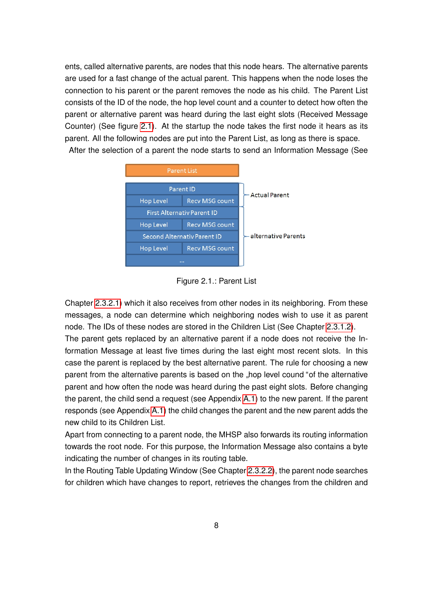ents, called alternative parents, are nodes that this node hears. The alternative parents are used for a fast change of the actual parent. This happens when the node loses the connection to his parent or the parent removes the node as his child. The Parent List consists of the ID of the node, the hop level count and a counter to detect how often the parent or alternative parent was heard during the last eight slots (Received Message Counter) (See figure [2.1\)](#page-8-0). At the startup the node takes the first node it hears as its parent. All the following nodes are put into the Parent List, as long as there is space. After the selection of a parent the node starts to send an Information Message (See



<span id="page-8-0"></span>Figure 2.1.: Parent List

Chapter [2.3.2.1\)](#page-10-1) which it also receives from other nodes in its neighboring. From these messages, a node can determine which neighboring nodes wish to use it as parent node. The IDs of these nodes are stored in the Children List (See Chapter [2.3.1.2\)](#page-9-0). The parent gets replaced by an alternative parent if a node does not receive the Information Message at least five times during the last eight most recent slots. In this case the parent is replaced by the best alternative parent. The rule for choosing a new parent from the alternative parents is based on the "hop level cound "of the alternative parent and how often the node was heard during the past eight slots. Before changing the parent, the child send a request (see Appendix [A.1\)](#page-17-1) to the new parent. If the parent responds (see Appendix [A.1\)](#page-17-1) the child changes the parent and the new parent adds the new child to its Children List.

Apart from connecting to a parent node, the MHSP also forwards its routing information towards the root node. For this purpose, the Information Message also contains a byte indicating the number of changes in its routing table.

In the Routing Table Updating Window (See Chapter [2.3.2.2\)](#page-11-0), the parent node searches for children which have changes to report, retrieves the changes from the children and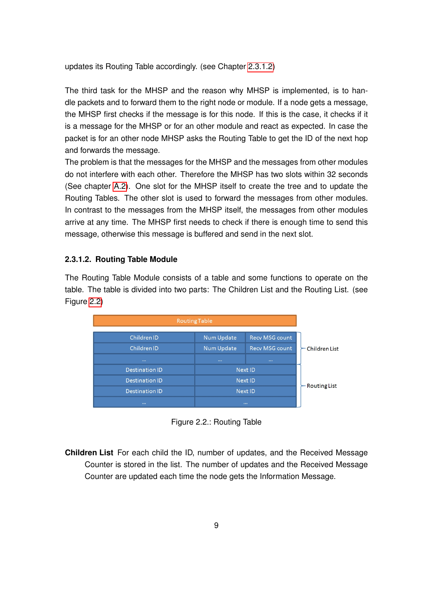updates its Routing Table accordingly. (see Chapter [2.3.1.2\)](#page-9-0)

The third task for the MHSP and the reason why MHSP is implemented, is to handle packets and to forward them to the right node or module. If a node gets a message, the MHSP first checks if the message is for this node. If this is the case, it checks if it is a message for the MHSP or for an other module and react as expected. In case the packet is for an other node MHSP asks the Routing Table to get the ID of the next hop and forwards the message.

The problem is that the messages for the MHSP and the messages from other modules do not interfere with each other. Therefore the MHSP has two slots within 32 seconds (See chapter [A.2\)](#page-18-0). One slot for the MHSP itself to create the tree and to update the Routing Tables. The other slot is used to forward the messages from other modules. In contrast to the messages from the MHSP itself, the messages from other modules arrive at any time. The MHSP first needs to check if there is enough time to send this message, otherwise this message is buffered and send in the next slot.

#### <span id="page-9-0"></span>**2.3.1.2. Routing Table Module**

The Routing Table Module consists of a table and some functions to operate on the table. The table is divided into two parts: The Children List and the Routing List. (see Figure [2.2\)](#page-9-1)

| <b>Routing Table</b>  |                   |                       |               |
|-----------------------|-------------------|-----------------------|---------------|
| Children ID           | Num Update        | <b>Recy MSG count</b> |               |
| Children ID           | <b>Num Update</b> | <b>Recy MSG count</b> | Children List |
|                       | $\cdots$          | $\cdots$              |               |
| Destination ID        | <b>Next ID</b>    |                       |               |
| <b>Destination ID</b> | <b>Next ID</b>    | <b>Routing List</b>   |               |
| <b>Destination ID</b> | <b>Next ID</b>    |                       |               |
|                       |                   | $\cdots$              |               |

<span id="page-9-1"></span>Figure 2.2.: Routing Table

**Children List** For each child the ID, number of updates, and the Received Message Counter is stored in the list. The number of updates and the Received Message Counter are updated each time the node gets the Information Message.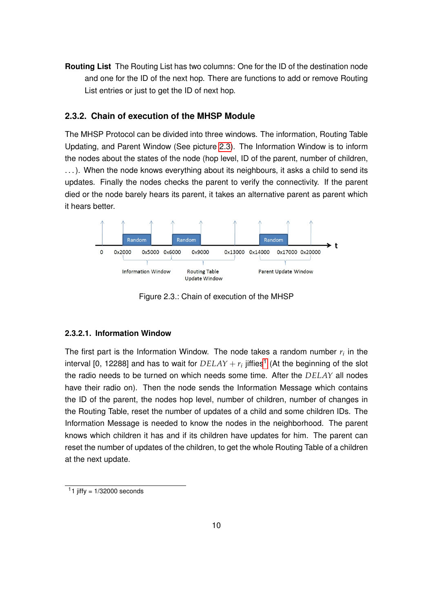**Routing List** The Routing List has two columns: One for the ID of the destination node and one for the ID of the next hop. There are functions to add or remove Routing List entries or just to get the ID of next hop.

#### <span id="page-10-0"></span>**2.3.2. Chain of execution of the MHSP Module**

The MHSP Protocol can be divided into three windows. The information, Routing Table Updating, and Parent Window (See picture [2.3\)](#page-10-2). The Information Window is to inform the nodes about the states of the node (hop level, ID of the parent, number of children, ...). When the node knows everything about its neighbours, it asks a child to send its updates. Finally the nodes checks the parent to verify the connectivity. If the parent died or the node barely hears its parent, it takes an alternative parent as parent which it hears better.



<span id="page-10-2"></span>Figure 2.3.: Chain of execution of the MHSP

#### <span id="page-10-1"></span>**2.3.2.1. Information Window**

The first part is the Information Window. The node takes a random number *r<sup>i</sup>* in the interval [0, [1](#page-0-0)2288] and has to wait for  $DELAY + r_i$  jiffies<sup>1</sup> (At the beginning of the slot the radio needs to be turned on which needs some time. After the *DELAY* all nodes have their radio on). Then the node sends the Information Message which contains the ID of the parent, the nodes hop level, number of children, number of changes in the Routing Table, reset the number of updates of a child and some children IDs. The Information Message is needed to know the nodes in the neighborhood. The parent knows which children it has and if its children have updates for him. The parent can reset the number of updates of the children, to get the whole Routing Table of a children at the next update.

<sup>&</sup>lt;sup>1</sup>1 jiffy =  $1/32000$  seconds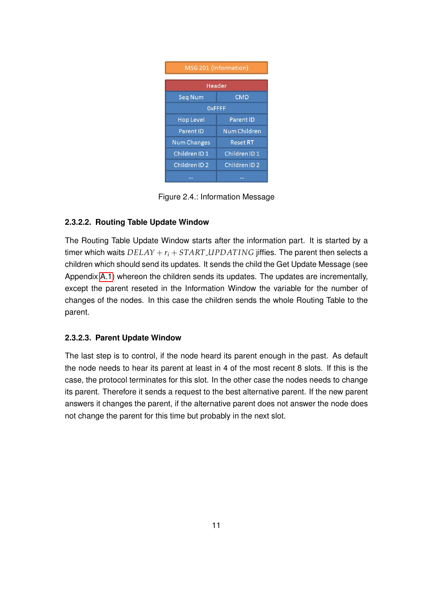| <b>MSG 201 (Information)</b> |                                                                              |  |  |  |  |
|------------------------------|------------------------------------------------------------------------------|--|--|--|--|
| Header                       |                                                                              |  |  |  |  |
| Seg Num                      | <b>CMD</b>                                                                   |  |  |  |  |
| <b>OxFFFF</b>                |                                                                              |  |  |  |  |
| <b>Hop Level</b>             | Parent ID                                                                    |  |  |  |  |
| Parent ID                    | Num Children<br><b>Reset RT</b><br>Children ID 1<br>Children ID <sub>2</sub> |  |  |  |  |
| <b>Num Changes</b>           |                                                                              |  |  |  |  |
| Children ID 1                |                                                                              |  |  |  |  |
| Children ID <sub>2</sub>     |                                                                              |  |  |  |  |
|                              |                                                                              |  |  |  |  |

<span id="page-11-2"></span>Figure 2.4.: Information Message

#### <span id="page-11-0"></span>**2.3.2.2. Routing Table Update Window**

The Routing Table Update Window starts after the information part. It is started by a timer which waits  $DELAY + r_i + START \perp UPDATING$  iffies. The parent then selects a children which should send its updates. It sends the child the Get Update Message (see Appendix [A.1\)](#page-17-2) whereon the children sends its updates. The updates are incrementally, except the parent reseted in the Information Window the variable for the number of changes of the nodes. In this case the children sends the whole Routing Table to the parent.

#### <span id="page-11-1"></span>**2.3.2.3. Parent Update Window**

The last step is to control, if the node heard its parent enough in the past. As default the node needs to hear its parent at least in 4 of the most recent 8 slots. If this is the case, the protocol terminates for this slot. In the other case the nodes needs to change its parent. Therefore it sends a request to the best alternative parent. If the new parent answers it changes the parent, if the alternative parent does not answer the node does not change the parent for this time but probably in the next slot.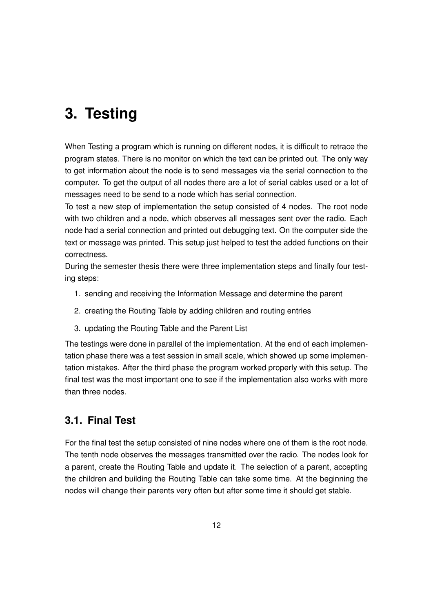## <span id="page-12-0"></span>**3. Testing**

When Testing a program which is running on different nodes, it is difficult to retrace the program states. There is no monitor on which the text can be printed out. The only way to get information about the node is to send messages via the serial connection to the computer. To get the output of all nodes there are a lot of serial cables used or a lot of messages need to be send to a node which has serial connection.

To test a new step of implementation the setup consisted of 4 nodes. The root node with two children and a node, which observes all messages sent over the radio. Each node had a serial connection and printed out debugging text. On the computer side the text or message was printed. This setup just helped to test the added functions on their correctness.

During the semester thesis there were three implementation steps and finally four testing steps:

- 1. sending and receiving the Information Message and determine the parent
- 2. creating the Routing Table by adding children and routing entries
- 3. updating the Routing Table and the Parent List

The testings were done in parallel of the implementation. At the end of each implementation phase there was a test session in small scale, which showed up some implementation mistakes. After the third phase the program worked properly with this setup. The final test was the most important one to see if the implementation also works with more than three nodes.

### <span id="page-12-1"></span>**3.1. Final Test**

For the final test the setup consisted of nine nodes where one of them is the root node. The tenth node observes the messages transmitted over the radio. The nodes look for a parent, create the Routing Table and update it. The selection of a parent, accepting the children and building the Routing Table can take some time. At the beginning the nodes will change their parents very often but after some time it should get stable.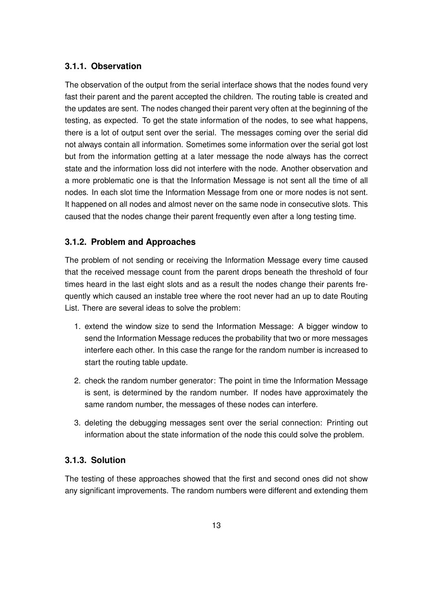#### <span id="page-13-0"></span>**3.1.1. Observation**

The observation of the output from the serial interface shows that the nodes found very fast their parent and the parent accepted the children. The routing table is created and the updates are sent. The nodes changed their parent very often at the beginning of the testing, as expected. To get the state information of the nodes, to see what happens, there is a lot of output sent over the serial. The messages coming over the serial did not always contain all information. Sometimes some information over the serial got lost but from the information getting at a later message the node always has the correct state and the information loss did not interfere with the node. Another observation and a more problematic one is that the Information Message is not sent all the time of all nodes. In each slot time the Information Message from one or more nodes is not sent. It happened on all nodes and almost never on the same node in consecutive slots. This caused that the nodes change their parent frequently even after a long testing time.

#### <span id="page-13-1"></span>**3.1.2. Problem and Approaches**

The problem of not sending or receiving the Information Message every time caused that the received message count from the parent drops beneath the threshold of four times heard in the last eight slots and as a result the nodes change their parents frequently which caused an instable tree where the root never had an up to date Routing List. There are several ideas to solve the problem:

- 1. extend the window size to send the Information Message: A bigger window to send the Information Message reduces the probability that two or more messages interfere each other. In this case the range for the random number is increased to start the routing table update.
- 2. check the random number generator: The point in time the Information Message is sent, is determined by the random number. If nodes have approximately the same random number, the messages of these nodes can interfere.
- 3. deleting the debugging messages sent over the serial connection: Printing out information about the state information of the node this could solve the problem.

#### <span id="page-13-2"></span>**3.1.3. Solution**

The testing of these approaches showed that the first and second ones did not show any significant improvements. The random numbers were different and extending them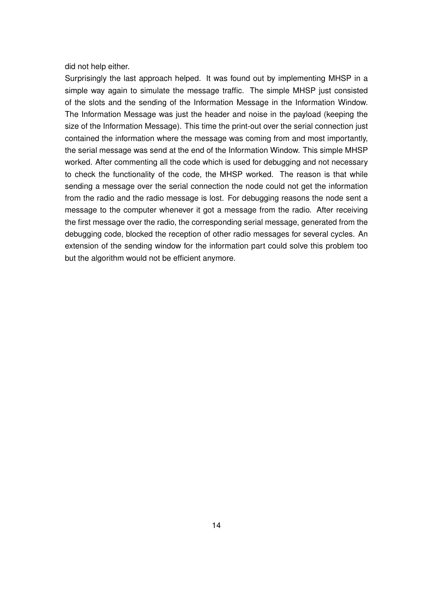did not help either.

Surprisingly the last approach helped. It was found out by implementing MHSP in a simple way again to simulate the message traffic. The simple MHSP just consisted of the slots and the sending of the Information Message in the Information Window. The Information Message was just the header and noise in the payload (keeping the size of the Information Message). This time the print-out over the serial connection just contained the information where the message was coming from and most importantly, the serial message was send at the end of the Information Window. This simple MHSP worked. After commenting all the code which is used for debugging and not necessary to check the functionality of the code, the MHSP worked. The reason is that while sending a message over the serial connection the node could not get the information from the radio and the radio message is lost. For debugging reasons the node sent a message to the computer whenever it got a message from the radio. After receiving the first message over the radio, the corresponding serial message, generated from the debugging code, blocked the reception of other radio messages for several cycles. An extension of the sending window for the information part could solve this problem too but the algorithm would not be efficient anymore.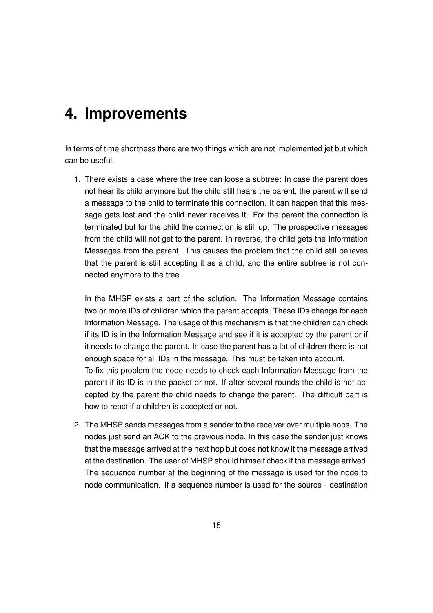## <span id="page-15-0"></span>**4. Improvements**

In terms of time shortness there are two things which are not implemented jet but which can be useful.

1. There exists a case where the tree can loose a subtree: In case the parent does not hear its child anymore but the child still hears the parent, the parent will send a message to the child to terminate this connection. It can happen that this message gets lost and the child never receives it. For the parent the connection is terminated but for the child the connection is still up. The prospective messages from the child will not get to the parent. In reverse, the child gets the Information Messages from the parent. This causes the problem that the child still believes that the parent is still accepting it as a child, and the entire subtree is not connected anymore to the tree.

In the MHSP exists a part of the solution. The Information Message contains two or more IDs of children which the parent accepts. These IDs change for each Information Message. The usage of this mechanism is that the children can check if its ID is in the Information Message and see if it is accepted by the parent or if it needs to change the parent. In case the parent has a lot of children there is not enough space for all IDs in the message. This must be taken into account. To fix this problem the node needs to check each Information Message from the parent if its ID is in the packet or not. If after several rounds the child is not accepted by the parent the child needs to change the parent. The difficult part is how to react if a children is accepted or not.

2. The MHSP sends messages from a sender to the receiver over multiple hops. The nodes just send an ACK to the previous node. In this case the sender just knows that the message arrived at the next hop but does not know it the message arrived at the destination. The user of MHSP should himself check if the message arrived. The sequence number at the beginning of the message is used for the node to node communication. If a sequence number is used for the source - destination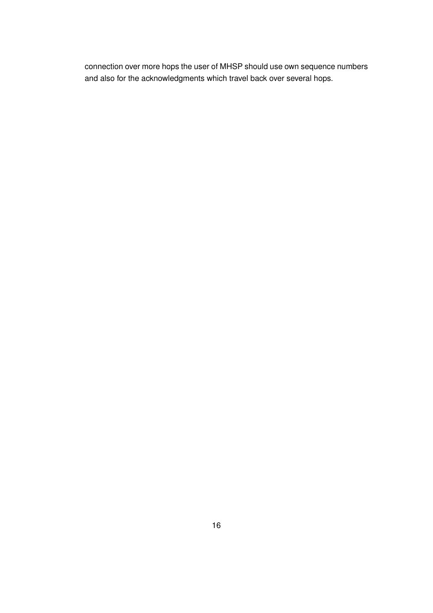connection over more hops the user of MHSP should use own sequence numbers and also for the acknowledgments which travel back over several hops.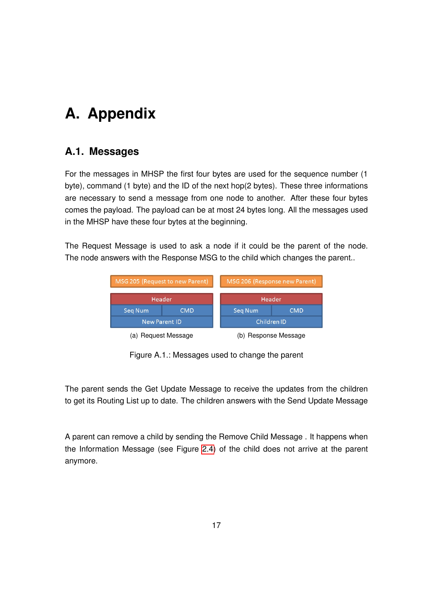## <span id="page-17-0"></span>**A. Appendix**

### <span id="page-17-1"></span>**A.1. Messages**

For the messages in MHSP the first four bytes are used for the sequence number (1 byte), command (1 byte) and the ID of the next hop(2 bytes). These three informations are necessary to send a message from one node to another. After these four bytes comes the payload. The payload can be at most 24 bytes long. All the messages used in the MHSP have these four bytes at the beginning.

The Request Message is used to ask a node if it could be the parent of the node. The node answers with the Response MSG to the child which changes the parent..

|                      | MSG 205 (Request to new Parent) | MSG 206 (Response new Parent) |            |  |  |  |  |  |
|----------------------|---------------------------------|-------------------------------|------------|--|--|--|--|--|
| Header               |                                 | Header                        |            |  |  |  |  |  |
| Seg Num              | CMD                             | Seg Num                       | <b>CMD</b> |  |  |  |  |  |
| <b>New Parent ID</b> |                                 | Children ID                   |            |  |  |  |  |  |
| a)                   | <b>Request Message</b>          | (b) Response Message          |            |  |  |  |  |  |

<span id="page-17-2"></span>Figure A.1.: Messages used to change the parent

The parent sends the Get Update Message to receive the updates from the children to get its Routing List up to date. The children answers with the Send Update Message

A parent can remove a child by sending the Remove Child Message . It happens when the Information Message (see Figure [2.4\)](#page-11-2) of the child does not arrive at the parent anymore.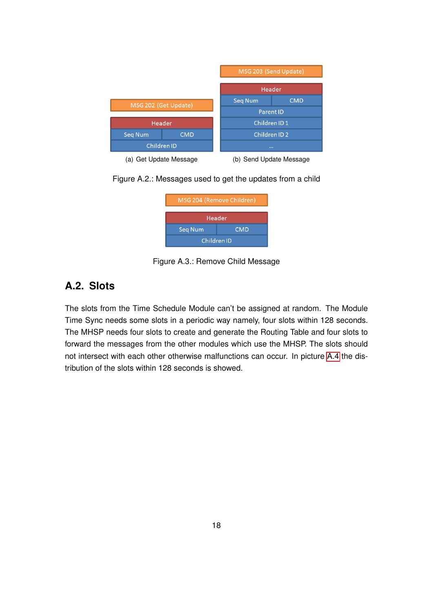|                      |            |  | MSG 203 (Send Update)             |                          |  |  |  |  |
|----------------------|------------|--|-----------------------------------|--------------------------|--|--|--|--|
|                      |            |  | Header                            |                          |  |  |  |  |
| MSG 202 (Get Update) |            |  | Seg Num                           | <b>CMD</b>               |  |  |  |  |
|                      |            |  | Parent ID                         |                          |  |  |  |  |
| Header               |            |  | Children ID <sub>1</sub>          |                          |  |  |  |  |
| Seg Num              | <b>CMD</b> |  |                                   | Children ID <sub>2</sub> |  |  |  |  |
| Children ID          |            |  | $\cdots$                          |                          |  |  |  |  |
|                      |            |  | $\overline{a}$ and $\overline{a}$ |                          |  |  |  |  |

(a) Get Update Message (b) Send Update Message





Figure A.3.: Remove Child Message

## <span id="page-18-0"></span>**A.2. Slots**

The slots from the Time Schedule Module can't be assigned at random. The Module Time Sync needs some slots in a periodic way namely, four slots within 128 seconds. The MHSP needs four slots to create and generate the Routing Table and four slots to forward the messages from the other modules which use the MHSP. The slots should not intersect with each other otherwise malfunctions can occur. In picture [A.4](#page-19-0) the distribution of the slots within 128 seconds is showed.